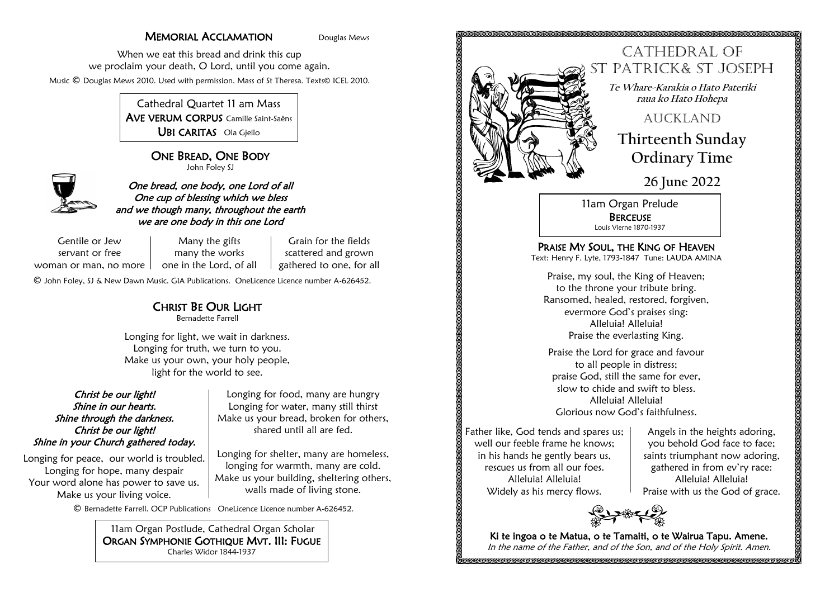## **MEMORIAL ACCLAMATION** Douglas Mews

Grain for the fields scattered and grown

When we eat this bread and drink this cup we proclaim your death, O Lord, until you come again. Music © Douglas Mews 2010. Used with permission. Mass of St Theresa. Texts© ICEL 2010.

> Cathedral Quartet 11 am Mass AVE VERUM CORPUS Camille Saint-Saëns UBI CARITAS Ola Gjeilo

> > ONE BREAD, ONE BODY John Foley SJ



One bread, one body, one Lord of all One cup of blessing which we bless and we though many, throughout the earth we are one body in this one Lord

Gentile or Jew servant or free woman or man, no more  $\,|\, \,$  one in the Lord, of all

Many the gifts many the works gathered to one, for all

© John Foley, SJ & New Dawn Music. GIA Publications. OneLicence Licence number A-626452.

# CHRIST BE OUR LIGHT

Bernadette Farrell

Longing for light, we wait in darkness. Longing for truth, we turn to you. Make us your own, your holy people, light for the world to see.

### Christ be our light! Shine in our hearts. Shine through the darkness. Christ be our light! Shine in your Church gathered today.

Longing for peace, our world is troubled. Longing for hope, many despair Your word alone has power to save us. Make us your living voice.

Longing for food, many are hungry Longing for water, many still thirst Make us your bread, broken for others, shared until all are fed.

Longing for shelter, many are homeless, longing for warmth, many are cold. Make us your building, sheltering others, walls made of living stone.

© Bernadette Farrell. OCP Publications OneLicence Licence number A-626452.

11am Organ Postlude, Cathedral Organ Scholar ORGAN SYMPHONIE GOTHIQUE MVT. III: FUGUE Charles Widor 1844-1937